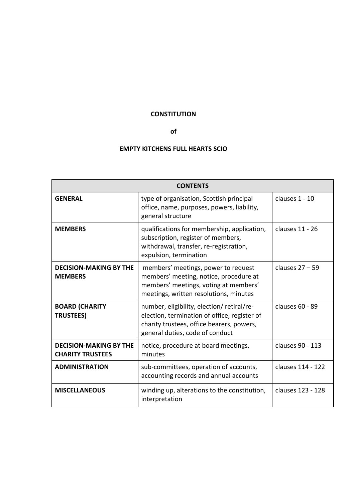## **CONSTITUTION**

#### **of**

# **EMPTY KITCHENS FULL HEARTS SCIO**

| <b>CONTENTS</b>                                          |                                                                                                                                                                           |                   |
|----------------------------------------------------------|---------------------------------------------------------------------------------------------------------------------------------------------------------------------------|-------------------|
| <b>GENERAL</b>                                           | type of organisation, Scottish principal<br>office, name, purposes, powers, liability,<br>general structure                                                               | clauses 1 - 10    |
| <b>MEMBERS</b>                                           | qualifications for membership, application,<br>subscription, register of members,<br>withdrawal, transfer, re-registration,<br>expulsion, termination                     | clauses 11 - 26   |
| <b>DECISION-MAKING BY THE</b><br><b>MEMBERS</b>          | members' meetings, power to request<br>members' meeting, notice, procedure at<br>members' meetings, voting at members'<br>meetings, written resolutions, minutes          | clauses $27 - 59$ |
| <b>BOARD (CHARITY</b><br><b>TRUSTEES)</b>                | number, eligibility, election/retiral/re-<br>election, termination of office, register of<br>charity trustees, office bearers, powers,<br>general duties, code of conduct | clauses 60 - 89   |
| <b>DECISION-MAKING BY THE</b><br><b>CHARITY TRUSTEES</b> | notice, procedure at board meetings,<br>minutes                                                                                                                           | clauses 90 - 113  |
| <b>ADMINISTRATION</b>                                    | sub-committees, operation of accounts,<br>accounting records and annual accounts                                                                                          | clauses 114 - 122 |
| <b>MISCELLANEOUS</b>                                     | winding up, alterations to the constitution,<br>interpretation                                                                                                            | clauses 123 - 128 |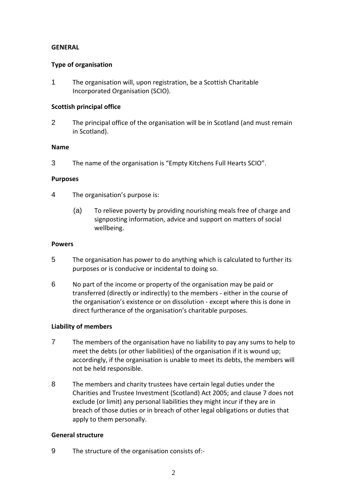## **GENERAL**

## **Type of organisation**

1 The organisation will, upon registration, be a Scottish Charitable Incorporated Organisation (SCIO).

## **Scottish principal office**

2 The principal office of the organisation will be in Scotland (and must remain in Scotland).

## **Name**

3 The name of the organisation is "Empty Kitchens Full Hearts SCIO".

## **Purposes**

- 4 The organisation's purpose is:
	- (a) To relieve poverty by providing nourishing meals free of charge and signposting information, advice and support on matters of social wellbeing.

## **Powers**

- 5 The organisation has power to do anything which is calculated to further its purposes or is conducive or incidental to doing so.
- 6 No part of the income or property of the organisation may be paid or transferred (directly or indirectly) to the members - either in the course of the organisation's existence or on dissolution - except where this is done in direct furtherance of the organisation's charitable purposes.

## **Liability of members**

- 7 The members of the organisation have no liability to pay any sums to help to meet the debts (or other liabilities) of the organisation if it is wound up; accordingly, if the organisation is unable to meet its debts, the members will not be held responsible.
- 8 The members and charity trustees have certain legal duties under the Charities and Trustee Investment (Scotland) Act 2005; and clause 7 does not exclude (or limit) any personal liabilities they might incur if they are in breach of those duties or in breach of other legal obligations or duties that apply to them personally.

## **General structure**

9 The structure of the organisation consists of:-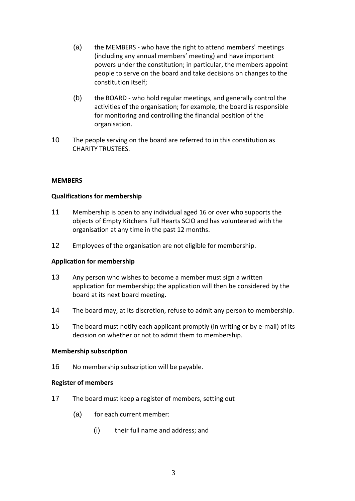- (a) the MEMBERS who have the right to attend members' meetings (including any annual members' meeting) and have important powers under the constitution; in particular, the members appoint people to serve on the board and take decisions on changes to the constitution itself;
- (b) the BOARD who hold regular meetings, and generally control the activities of the organisation; for example, the board is responsible for monitoring and controlling the financial position of the organisation.
- 10 The people serving on the board are referred to in this constitution as CHARITY TRUSTEES.

## **MEMBERS**

## **Qualifications for membership**

- 11 Membership is open to any individual aged 16 or over who supports the objects of Empty Kitchens Full Hearts SCIO and has volunteered with the organisation at any time in the past 12 months.
- 12 Employees of the organisation are not eligible for membership.

## **Application for membership**

- 13 Any person who wishes to become a member must sign a written application for membership; the application will then be considered by the board at its next board meeting.
- 14 The board may, at its discretion, refuse to admit any person to membership.
- 15 The board must notify each applicant promptly (in writing or by e-mail) of its decision on whether or not to admit them to membership.

## **Membership subscription**

16 No membership subscription will be payable.

## **Register of members**

- 17 The board must keep a register of members, setting out
	- (a) for each current member:
		- (i) their full name and address; and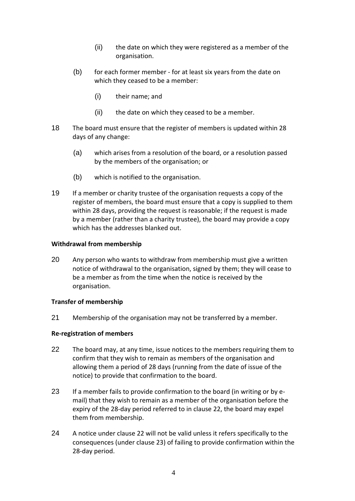- (ii) the date on which they were registered as a member of the organisation.
- (b) for each former member for at least six years from the date on which they ceased to be a member:
	- (i) their name; and
	- (ii) the date on which they ceased to be a member.
- 18 The board must ensure that the register of members is updated within 28 days of any change:
	- (a) which arises from a resolution of the board, or a resolution passed by the members of the organisation; or
	- (b) which is notified to the organisation.
- 19 If a member or charity trustee of the organisation requests a copy of the register of members, the board must ensure that a copy is supplied to them within 28 days, providing the request is reasonable; if the request is made by a member (rather than a charity trustee), the board may provide a copy which has the addresses blanked out.

## **Withdrawal from membership**

20 Any person who wants to withdraw from membership must give a written notice of withdrawal to the organisation, signed by them; they will cease to be a member as from the time when the notice is received by the organisation.

## **Transfer of membership**

21 Membership of the organisation may not be transferred by a member.

## **Re-registration of members**

- 22 The board may, at any time, issue notices to the members requiring them to confirm that they wish to remain as members of the organisation and allowing them a period of 28 days (running from the date of issue of the notice) to provide that confirmation to the board.
- 23 If a member fails to provide confirmation to the board (in writing or by email) that they wish to remain as a member of the organisation before the expiry of the 28-day period referred to in clause 22, the board may expel them from membership.
- 24 A notice under clause 22 will not be valid unless it refers specifically to the consequences (under clause 23) of failing to provide confirmation within the 28-day period.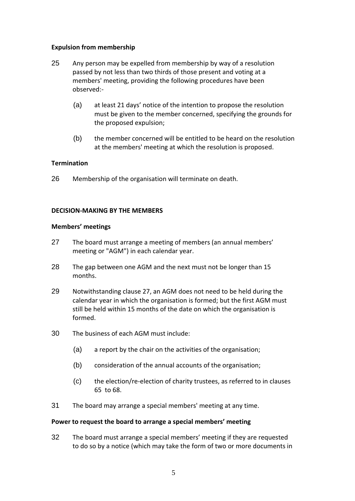## **Expulsion from membership**

- 25 Any person may be expelled from membership by way of a resolution passed by not less than two thirds of those present and voting at a members' meeting, providing the following procedures have been observed:-
	- (a) at least 21 days' notice of the intention to propose the resolution must be given to the member concerned, specifying the grounds for the proposed expulsion;
	- (b) the member concerned will be entitled to be heard on the resolution at the members' meeting at which the resolution is proposed.

## **Termination**

26 Membership of the organisation will terminate on death.

## **DECISION-MAKING BY THE MEMBERS**

## **Members' meetings**

- 27 The board must arrange a meeting of members (an annual members' meeting or "AGM") in each calendar year.
- 28 The gap between one AGM and the next must not be longer than 15 months.
- 29 Notwithstanding clause 27, an AGM does not need to be held during the calendar year in which the organisation is formed; but the first AGM must still be held within 15 months of the date on which the organisation is formed.
- 30 The business of each AGM must include:
	- (a) a report by the chair on the activities of the organisation;
	- (b) consideration of the annual accounts of the organisation;
	- (c) the election/re-election of charity trustees, as referred to in clauses 65 to 68.
- 31 The board may arrange a special members' meeting at any time.

## **Power to request the board to arrange a special members' meeting**

32 The board must arrange a special members' meeting if they are requested to do so by a notice (which may take the form of two or more documents in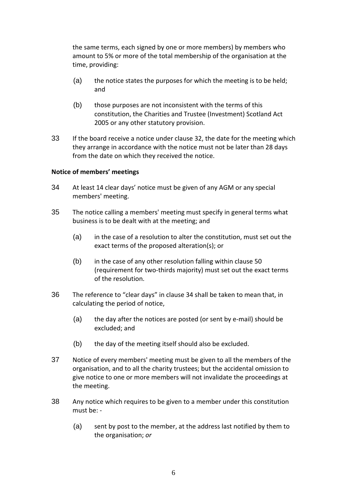the same terms, each signed by one or more members) by members who amount to 5% or more of the total membership of the organisation at the time, providing:

- (a) the notice states the purposes for which the meeting is to be held; and
- (b) those purposes are not inconsistent with the terms of this constitution, the Charities and Trustee (Investment) Scotland Act 2005 or any other statutory provision.
- 33 If the board receive a notice under clause 32, the date for the meeting which they arrange in accordance with the notice must not be later than 28 days from the date on which they received the notice.

#### **Notice of members' meetings**

- 34 At least 14 clear days' notice must be given of any AGM or any special members' meeting.
- 35 The notice calling a members' meeting must specify in general terms what business is to be dealt with at the meeting; and
	- (a) in the case of a resolution to alter the constitution, must set out the exact terms of the proposed alteration(s); or
	- (b) in the case of any other resolution falling within clause 50 (requirement for two-thirds majority) must set out the exact terms of the resolution.
- 36 The reference to "clear days" in clause 34 shall be taken to mean that, in calculating the period of notice,
	- (a) the day after the notices are posted (or sent by e-mail) should be excluded; and
	- (b) the day of the meeting itself should also be excluded.
- 37 Notice of every members' meeting must be given to all the members of the organisation, and to all the charity trustees; but the accidental omission to give notice to one or more members will not invalidate the proceedings at the meeting.
- 38 Any notice which requires to be given to a member under this constitution must be: -
	- (a) sent by post to the member, at the address last notified by them to the organisation; *or*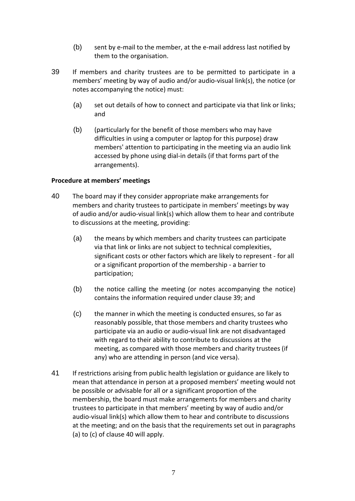- (b) sent by e-mail to the member, at the e-mail address last notified by them to the organisation.
- 39 If members and charity trustees are to be permitted to participate in a members' meeting by way of audio and/or audio-visual link(s), the notice (or notes accompanying the notice) must:
	- (a) set out details of how to connect and participate via that link or links; and
	- (b) (particularly for the benefit of those members who may have difficulties in using a computer or laptop for this purpose) draw members' attention to participating in the meeting via an audio link accessed by phone using dial-in details (if that forms part of the arrangements).

## **Procedure at members' meetings**

- 40 The board may if they consider appropriate make arrangements for members and charity trustees to participate in members' meetings by way of audio and/or audio-visual link(s) which allow them to hear and contribute to discussions at the meeting, providing:
	- (a) the means by which members and charity trustees can participate via that link or links are not subject to technical complexities, significant costs or other factors which are likely to represent - for all or a significant proportion of the membership - a barrier to participation;
	- (b) the notice calling the meeting (or notes accompanying the notice) contains the information required under clause 39; and
	- (c) the manner in which the meeting is conducted ensures, so far as reasonably possible, that those members and charity trustees who participate via an audio or audio-visual link are not disadvantaged with regard to their ability to contribute to discussions at the meeting, as compared with those members and charity trustees (if any) who are attending in person (and vice versa).
- 41 If restrictions arising from public health legislation or guidance are likely to mean that attendance in person at a proposed members' meeting would not be possible or advisable for all or a significant proportion of the membership, the board must make arrangements for members and charity trustees to participate in that members' meeting by way of audio and/or audio-visual link(s) which allow them to hear and contribute to discussions at the meeting; and on the basis that the requirements set out in paragraphs (a) to (c) of clause 40 will apply.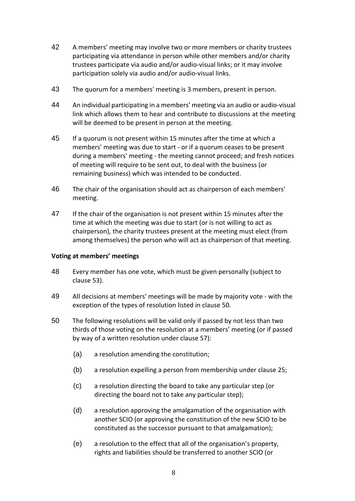- 42 A members' meeting may involve two or more members or charity trustees participating via attendance in person while other members and/or charity trustees participate via audio and/or audio-visual links; or it may involve participation solely via audio and/or audio-visual links.
- 43 The quorum for a members' meeting is 3 members, present in person.
- 44 An individual participating in a members' meeting via an audio or audio-visual link which allows them to hear and contribute to discussions at the meeting will be deemed to be present in person at the meeting.
- 45 If a quorum is not present within 15 minutes after the time at which a members' meeting was due to start - or if a quorum ceases to be present during a members' meeting - the meeting cannot proceed; and fresh notices of meeting will require to be sent out, to deal with the business (or remaining business) which was intended to be conducted.
- 46 The chair of the organisation should act as chairperson of each members' meeting.
- 47 If the chair of the organisation is not present within 15 minutes after the time at which the meeting was due to start (or is not willing to act as chairperson), the charity trustees present at the meeting must elect (from among themselves) the person who will act as chairperson of that meeting.

## **Voting at members' meetings**

- 48 Every member has one vote, which must be given personally (subject to clause 53).
- 49 All decisions at members' meetings will be made by majority vote with the exception of the types of resolution listed in clause 50.
- 50 The following resolutions will be valid only if passed by not less than two thirds of those voting on the resolution at a members' meeting (or if passed by way of a written resolution under clause 57):
	- (a) a resolution amending the constitution;
	- (b) a resolution expelling a person from membership under clause 25;
	- (c) a resolution directing the board to take any particular step (or directing the board not to take any particular step);
	- (d) a resolution approving the amalgamation of the organisation with another SCIO (or approving the constitution of the new SCIO to be constituted as the successor pursuant to that amalgamation);
	- (e) a resolution to the effect that all of the organisation's property, rights and liabilities should be transferred to another SCIO (or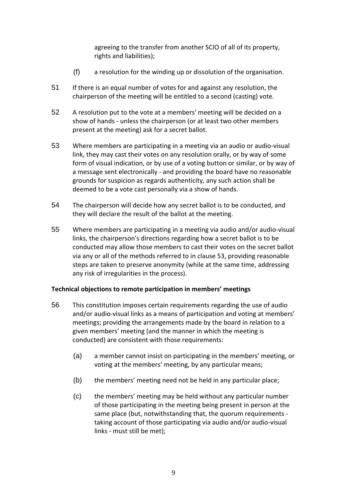agreeing to the transfer from another SCIO of all of its property, rights and liabilities);

- (f) a resolution for the winding up or dissolution of the organisation.
- 51 If there is an equal number of votes for and against any resolution, the chairperson of the meeting will be entitled to a second (casting) vote.
- 52 A resolution put to the vote at a members' meeting will be decided on a show of hands - unless the chairperson (or at least two other members present at the meeting) ask for a secret ballot.
- 53 Where members are participating in a meeting via an audio or audio-visual link, they may cast their votes on any resolution orally, or by way of some form of visual indication, or by use of a voting button or similar, or by way of a message sent electronically - and providing the board have no reasonable grounds for suspicion as regards authenticity, any such action shall be deemed to be a vote cast personally via a show of hands.
- 54 The chairperson will decide how any secret ballot is to be conducted, and they will declare the result of the ballot at the meeting.
- 55 Where members are participating in a meeting via audio and/or audio-visual links, the chairperson's directions regarding how a secret ballot is to be conducted may allow those members to cast their votes on the secret ballot via any or all of the methods referred to in clause 53, providing reasonable steps are taken to preserve anonymity (while at the same time, addressing any risk of irregularities in the process).

## **Technical objections to remote participation in members' meetings**

- 56 This constitution imposes certain requirements regarding the use of audio and/or audio-visual links as a means of participation and voting at members' meetings; providing the arrangements made by the board in relation to a given members' meeting (and the manner in which the meeting is conducted) are consistent with those requirements:
	- (a) a member cannot insist on participating in the members' meeting, or voting at the members' meeting, by any particular means;
	- (b) the members' meeting need not be held in any particular place;
	- (c) the members' meeting may be held without any particular number of those participating in the meeting being present in person at the same place (but, notwithstanding that, the quorum requirements taking account of those participating via audio and/or audio-visual links - must still be met);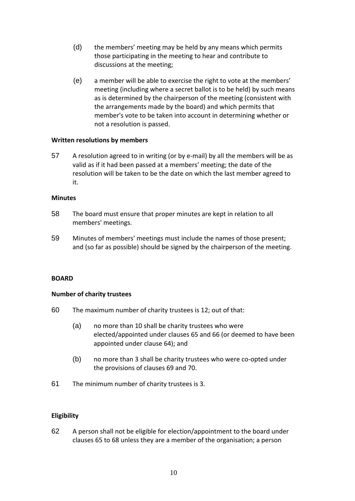- (d) the members' meeting may be held by any means which permits those participating in the meeting to hear and contribute to discussions at the meeting;
- (e) a member will be able to exercise the right to vote at the members' meeting (including where a secret ballot is to be held) by such means as is determined by the chairperson of the meeting (consistent with the arrangements made by the board) and which permits that member's vote to be taken into account in determining whether or not a resolution is passed.

## **Written resolutions by members**

57 A resolution agreed to in writing (or by e-mail) by all the members will be as valid as if it had been passed at a members' meeting; the date of the resolution will be taken to be the date on which the last member agreed to it.

#### **Minutes**

- 58 The board must ensure that proper minutes are kept in relation to all members' meetings.
- 59 Minutes of members' meetings must include the names of those present; and (so far as possible) should be signed by the chairperson of the meeting.

## **BOARD**

## **Number of charity trustees**

- 60 The maximum number of charity trustees is 12; out of that:
	- (a) no more than 10 shall be charity trustees who were elected/appointed under clauses 65 and 66 (or deemed to have been appointed under clause 64); and
	- (b) no more than 3 shall be charity trustees who were co-opted under the provisions of clauses [69](#page-10-0) and [70.](#page-11-0)
- 61 The minimum number of charity trustees is 3.

## **Eligibility**

62 A person shall not be eligible for election/appointment to the board under clauses 65 to 68 unless they are a member of the organisation; a person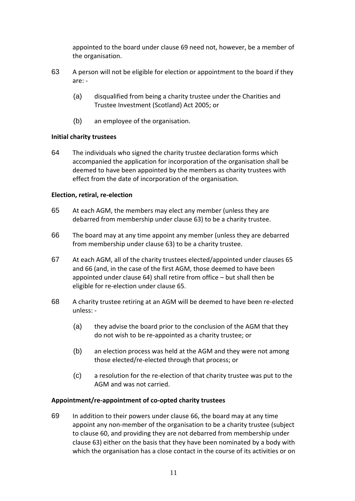appointed to the board under clause [69](#page-10-0) need not, however, be a member of the organisation.

- 63 A person will not be eligible for election or appointment to the board if they are: -
	- (a) disqualified from being a charity trustee under the Charities and Trustee Investment (Scotland) Act 2005; or
	- (b) an employee of the organisation.

## **Initial charity trustees**

64 The individuals who signed the charity trustee declaration forms which accompanied the application for incorporation of the organisation shall be deemed to have been appointed by the members as charity trustees with effect from the date of incorporation of the organisation.

## **Election, retiral, re-election**

- 65 At each AGM, the members may elect any member (unless they are debarred from membership under clause 63) to be a charity trustee.
- 66 The board may at any time appoint any member (unless they are debarred from membership under clause 63) to be a charity trustee.
- 67 At each AGM, all of the charity trustees elected/appointed under clauses 65 and 66 (and, in the case of the first AGM, those deemed to have been appointed under clause 64) shall retire from office – but shall then be eligible for re-election under clause 65.
- 68 A charity trustee retiring at an AGM will be deemed to have been re-elected unless: -
	- (a) they advise the board prior to the conclusion of the AGM that they do not wish to be re-appointed as a charity trustee; or
	- (b) an election process was held at the AGM and they were not among those elected/re-elected through that process; or
	- (c) a resolution for the re-election of that charity trustee was put to the AGM and was not carried.

## **Appointment/re-appointment of co-opted charity trustees**

<span id="page-10-0"></span>69 In addition to their powers under clause 66, the board may at any time appoint any non-member of the organisation to be a charity trustee (subject to clause 60, and providing they are not debarred from membership under clause 63) either on the basis that they have been nominated by a body with which the organisation has a close contact in the course of its activities or on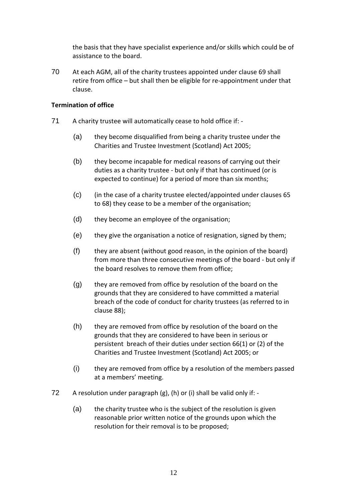the basis that they have specialist experience and/or skills which could be of assistance to the board.

<span id="page-11-0"></span>70 At each AGM, all of the charity trustees appointed under clause [69](#page-10-0) shall retire from office – but shall then be eligible for re-appointment under that clause.

## **Termination of office**

- 71 A charity trustee will automatically cease to hold office if:
	- (a) they become disqualified from being a charity trustee under the Charities and Trustee Investment (Scotland) Act 2005;
	- (b) they become incapable for medical reasons of carrying out their duties as a charity trustee - but only if that has continued (or is expected to continue) for a period of more than six months;
	- (c) (in the case of a charity trustee elected/appointed under clauses 65 to 68) they cease to be a member of the organisation;
	- (d) they become an employee of the organisation;
	- (e) they give the organisation a notice of resignation, signed by them;
	- $(f)$  they are absent (without good reason, in the opinion of the board) from more than three consecutive meetings of the board - but only if the board resolves to remove them from office;
	- (g) they are removed from office by resolution of the board on the grounds that they are considered to have committed a material breach of the code of conduct for charity trustees (as referred to in clause 88);
	- (h) they are removed from office by resolution of the board on the grounds that they are considered to have been in serious or persistent breach of their duties under section 66(1) or (2) of the Charities and Trustee Investment (Scotland) Act 2005; or
	- (i) they are removed from office by a resolution of the members passed at a members' meeting.
- 72 A resolution under paragraph  $(g)$ ,  $(h)$  or  $(i)$  shall be valid only if: -
	- (a) the charity trustee who is the subject of the resolution is given reasonable prior written notice of the grounds upon which the resolution for their removal is to be proposed;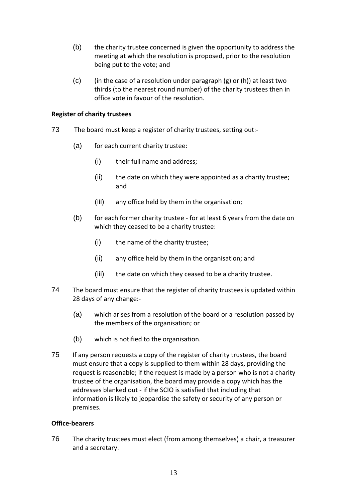- (b) the charity trustee concerned is given the opportunity to address the meeting at which the resolution is proposed, prior to the resolution being put to the vote; and
- (c) (in the case of a resolution under paragraph  $(g)$  or  $(h)$ ) at least two thirds (to the nearest round number) of the charity trustees then in office vote in favour of the resolution.

## **Register of charity trustees**

- 73 The board must keep a register of charity trustees, setting out:-
	- (a) for each current charity trustee:
		- (i) their full name and address;
		- (ii) the date on which they were appointed as a charity trustee; and
		- (iii) any office held by them in the organisation;
	- (b) for each former charity trustee for at least 6 years from the date on which they ceased to be a charity trustee:
		- (i) the name of the charity trustee;
		- (ii) any office held by them in the organisation; and
		- (iii) the date on which they ceased to be a charity trustee.
- 74 The board must ensure that the register of charity trustees is updated within 28 days of any change:-
	- (a) which arises from a resolution of the board or a resolution passed by the members of the organisation; or
	- (b) which is notified to the organisation.
- 75 If any person requests a copy of the register of charity trustees, the board must ensure that a copy is supplied to them within 28 days, providing the request is reasonable; if the request is made by a person who is not a charity trustee of the organisation, the board may provide a copy which has the addresses blanked out - if the SCIO is satisfied that including that information is likely to jeopardise the safety or security of any person or premises.

## **Office-bearers**

76 The charity trustees must elect (from among themselves) a chair, a treasurer and a secretary.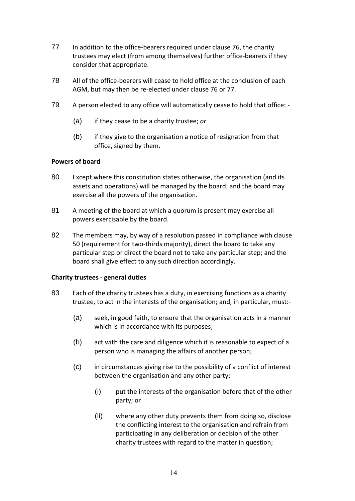- 77 In addition to the office-bearers required under clause 76, the charity trustees may elect (from among themselves) further office-bearers if they consider that appropriate.
- 78 All of the office-bearers will cease to hold office at the conclusion of each AGM, but may then be re-elected under clause 76 or 77.
- 79 A person elected to any office will automatically cease to hold that office:
	- (a) if they cease to be a charity trustee; *or*
	- (b) if they give to the organisation a notice of resignation from that office, signed by them.

## **Powers of board**

- 80 Except where this constitution states otherwise, the organisation (and its assets and operations) will be managed by the board; and the board may exercise all the powers of the organisation.
- 81 A meeting of the board at which a quorum is present may exercise all powers exercisable by the board.
- 82 The members may, by way of a resolution passed in compliance with clause 50 (requirement for two-thirds majority), direct the board to take any particular step or direct the board not to take any particular step; and the board shall give effect to any such direction accordingly.

## **Charity trustees - general duties**

- 83 Each of the charity trustees has a duty, in exercising functions as a charity trustee, to act in the interests of the organisation; and, in particular, must:-
	- (a) seek, in good faith, to ensure that the organisation acts in a manner which is in accordance with its purposes;
	- (b) act with the care and diligence which it is reasonable to expect of a person who is managing the affairs of another person;
	- (c) in circumstances giving rise to the possibility of a conflict of interest between the organisation and any other party:
		- (i) put the interests of the organisation before that of the other party; or
		- (ii) where any other duty prevents them from doing so, disclose the conflicting interest to the organisation and refrain from participating in any deliberation or decision of the other charity trustees with regard to the matter in question;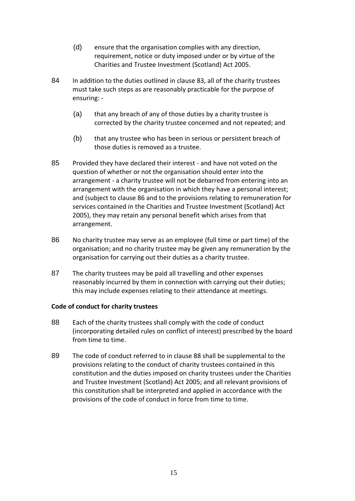- (d) ensure that the organisation complies with any direction, requirement, notice or duty imposed under or by virtue of the Charities and Trustee Investment (Scotland) Act 2005.
- 84 In addition to the duties outlined in clause 83, all of the charity trustees must take such steps as are reasonably practicable for the purpose of ensuring: -
	- (a) that any breach of any of those duties by a charity trustee is corrected by the charity trustee concerned and not repeated; and
	- (b) that any trustee who has been in serious or persistent breach of those duties is removed as a trustee.
- 85 Provided they have declared their interest and have not voted on the question of whether or not the organisation should enter into the arrangement - a charity trustee will not be debarred from entering into an arrangement with the organisation in which they have a personal interest; and (subject to clause 86 and to the provisions relating to remuneration for services contained in the Charities and Trustee Investment (Scotland) Act 2005), they may retain any personal benefit which arises from that arrangement.
- 86 No charity trustee may serve as an employee (full time or part time) of the organisation; and no charity trustee may be given any remuneration by the organisation for carrying out their duties as a charity trustee.
- 87 The charity trustees may be paid all travelling and other expenses reasonably incurred by them in connection with carrying out their duties; this may include expenses relating to their attendance at meetings.

## **Code of conduct for charity trustees**

- 88 Each of the charity trustees shall comply with the code of conduct (incorporating detailed rules on conflict of interest) prescribed by the board from time to time.
- 89 The code of conduct referred to in clause 88 shall be supplemental to the provisions relating to the conduct of charity trustees contained in this constitution and the duties imposed on charity trustees under the Charities and Trustee Investment (Scotland) Act 2005; and all relevant provisions of this constitution shall be interpreted and applied in accordance with the provisions of the code of conduct in force from time to time.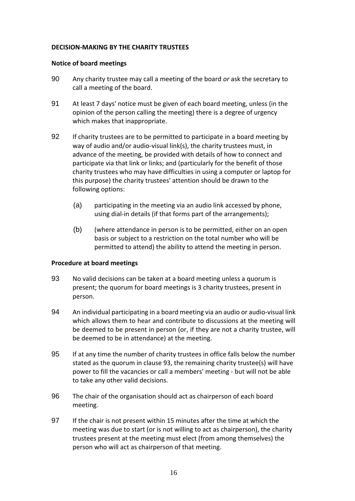## **DECISION-MAKING BY THE CHARITY TRUSTEES**

## **Notice of board meetings**

- 90 Any charity trustee may call a meeting of the board *or* ask the secretary to call a meeting of the board.
- 91 At least 7 days' notice must be given of each board meeting, unless (in the opinion of the person calling the meeting) there is a degree of urgency which makes that inappropriate.
- 92 If charity trustees are to be permitted to participate in a board meeting by way of audio and/or audio-visual link(s), the charity trustees must, in advance of the meeting, be provided with details of how to connect and participate via that link or links; and (particularly for the benefit of those charity trustees who may have difficulties in using a computer or laptop for this purpose) the charity trustees' attention should be drawn to the following options:
	- (a) participating in the meeting via an audio link accessed by phone, using dial-in details (if that forms part of the arrangements);
	- (b) (where attendance in person is to be permitted, either on an open basis or subject to a restriction on the total number who will be permitted to attend) the ability to attend the meeting in person.

## **Procedure at board meetings**

- 93 No valid decisions can be taken at a board meeting unless a quorum is present; the quorum for board meetings is 3 charity trustees, present in person.
- 94 An individual participating in a board meeting via an audio or audio-visual link which allows them to hear and contribute to discussions at the meeting will be deemed to be present in person (or, if they are not a charity trustee, will be deemed to be in attendance) at the meeting.
- 95 If at any time the number of charity trustees in office falls below the number stated as the quorum in clause 93, the remaining charity trustee(s) will have power to fill the vacancies or call a members' meeting - but will not be able to take any other valid decisions.
- 96 The chair of the organisation should act as chairperson of each board meeting.
- 97 If the chair is not present within 15 minutes after the time at which the meeting was due to start (or is not willing to act as chairperson), the charity trustees present at the meeting must elect (from among themselves) the person who will act as chairperson of that meeting.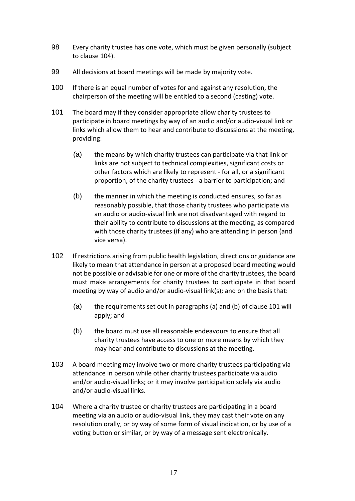- 98 Every charity trustee has one vote, which must be given personally (subject to clause 104).
- 99 All decisions at board meetings will be made by majority vote.
- 100 If there is an equal number of votes for and against any resolution, the chairperson of the meeting will be entitled to a second (casting) vote.
- 101 The board may if they consider appropriate allow charity trustees to participate in board meetings by way of an audio and/or audio-visual link or links which allow them to hear and contribute to discussions at the meeting, providing:
	- (a) the means by which charity trustees can participate via that link or links are not subject to technical complexities, significant costs or other factors which are likely to represent - for all, or a significant proportion, of the charity trustees - a barrier to participation; and
	- (b) the manner in which the meeting is conducted ensures, so far as reasonably possible, that those charity trustees who participate via an audio or audio-visual link are not disadvantaged with regard to their ability to contribute to discussions at the meeting, as compared with those charity trustees (if any) who are attending in person (and vice versa).
- 102 If restrictions arising from public health legislation, directions or guidance are likely to mean that attendance in person at a proposed board meeting would not be possible or advisable for one or more of the charity trustees, the board must make arrangements for charity trustees to participate in that board meeting by way of audio and/or audio-visual link(s); and on the basis that:
	- (a) the requirements set out in paragraphs (a) and (b) of clause 101 will apply; and
	- (b) the board must use all reasonable endeavours to ensure that all charity trustees have access to one or more means by which they may hear and contribute to discussions at the meeting.
- 103 A board meeting may involve two or more charity trustees participating via attendance in person while other charity trustees participate via audio and/or audio-visual links; or it may involve participation solely via audio and/or audio-visual links.
- 104 Where a charity trustee or charity trustees are participating in a board meeting via an audio or audio-visual link, they may cast their vote on any resolution orally, or by way of some form of visual indication, or by use of a voting button or similar, or by way of a message sent electronically.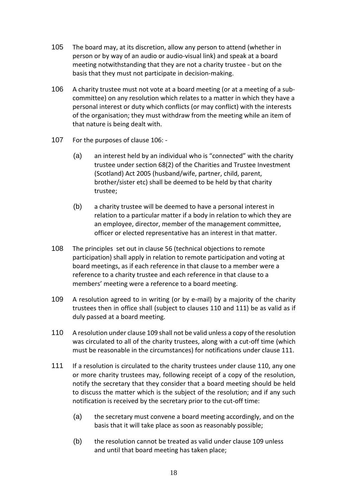- 105 The board may, at its discretion, allow any person to attend (whether in person or by way of an audio or audio-visual link) and speak at a board meeting notwithstanding that they are not a charity trustee - but on the basis that they must not participate in decision-making.
- 106 A charity trustee must not vote at a board meeting (or at a meeting of a subcommittee) on any resolution which relates to a matter in which they have a personal interest or duty which conflicts (or may conflict) with the interests of the organisation; they must withdraw from the meeting while an item of that nature is being dealt with.
- 107 For the purposes of clause 106:
	- (a) an interest held by an individual who is "connected" with the charity trustee under section 68(2) of the Charities and Trustee Investment (Scotland) Act 2005 (husband/wife, partner, child, parent, brother/sister etc) shall be deemed to be held by that charity trustee;
	- (b) a charity trustee will be deemed to have a personal interest in relation to a particular matter if a body in relation to which they are an employee, director, member of the management committee, officer or elected representative has an interest in that matter.
- 108 The principles set out in clause 56 (technical objections to remote participation) shall apply in relation to remote participation and voting at board meetings, as if each reference in that clause to a member were a reference to a charity trustee and each reference in that clause to a members' meeting were a reference to a board meeting.
- 109 A resolution agreed to in writing (or by e-mail) by a majority of the charity trustees then in office shall (subject to clauses 110 and 111) be as valid as if duly passed at a board meeting.
- 110 A resolution under clause 109 shall not be valid unless a copy of the resolution was circulated to all of the charity trustees, along with a cut-off time (which must be reasonable in the circumstances) for notifications under clause 111.
- 111 If a resolution is circulated to the charity trustees under clause 110, any one or more charity trustees may, following receipt of a copy of the resolution, notify the secretary that they consider that a board meeting should be held to discuss the matter which is the subject of the resolution; and if any such notification is received by the secretary prior to the cut-off time:
	- (a) the secretary must convene a board meeting accordingly, and on the basis that it will take place as soon as reasonably possible;
	- (b) the resolution cannot be treated as valid under clause 109 unless and until that board meeting has taken place;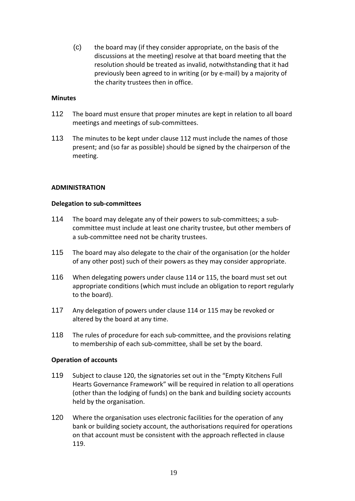(c) the board may (if they consider appropriate, on the basis of the discussions at the meeting) resolve at that board meeting that the resolution should be treated as invalid, notwithstanding that it had previously been agreed to in writing (or by e-mail) by a majority of the charity trustees then in office.

### **Minutes**

- 112 The board must ensure that proper minutes are kept in relation to all board meetings and meetings of sub-committees.
- 113 The minutes to be kept under clause 112 must include the names of those present; and (so far as possible) should be signed by the chairperson of the meeting.

#### **ADMINISTRATION**

#### **Delegation to sub-committees**

- 114 The board may delegate any of their powers to sub-committees; a subcommittee must include at least one charity trustee, but other members of a sub-committee need not be charity trustees.
- 115 The board may also delegate to the chair of the organisation (or the holder of any other post) such of their powers as they may consider appropriate.
- 116 When delegating powers under clause 114 or 115, the board must set out appropriate conditions (which must include an obligation to report regularly to the board).
- 117 Any delegation of powers under clause 114 or 115 may be revoked or altered by the board at any time.
- 118 The rules of procedure for each sub-committee, and the provisions relating to membership of each sub-committee, shall be set by the board.

#### **Operation of accounts**

- 119 Subject to clause 120, the signatories set out in the "Empty Kitchens Full Hearts Governance Framework" will be required in relation to all operations (other than the lodging of funds) on the bank and building society accounts held by the organisation.
- 120 Where the organisation uses electronic facilities for the operation of any bank or building society account, the authorisations required for operations on that account must be consistent with the approach reflected in clause 119.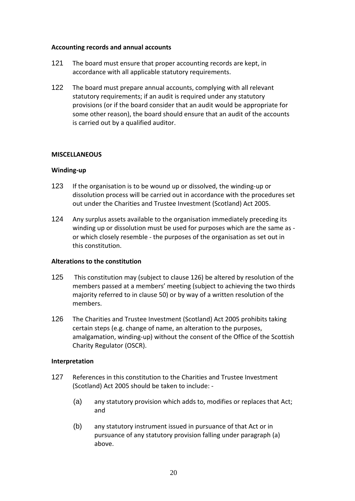## **Accounting records and annual accounts**

- 121 The board must ensure that proper accounting records are kept, in accordance with all applicable statutory requirements.
- 122 The board must prepare annual accounts, complying with all relevant statutory requirements; if an audit is required under any statutory provisions (or if the board consider that an audit would be appropriate for some other reason), the board should ensure that an audit of the accounts is carried out by a qualified auditor.

## **MISCELLANEOUS**

## **Winding-up**

- 123 If the organisation is to be wound up or dissolved, the winding-up or dissolution process will be carried out in accordance with the procedures set out under the Charities and Trustee Investment (Scotland) Act 2005.
- 124 Any surplus assets available to the organisation immediately preceding its winding up or dissolution must be used for purposes which are the same as or which closely resemble - the purposes of the organisation as set out in this constitution.

## **Alterations to the constitution**

- 125 This constitution may (subject to clause 126) be altered by resolution of the members passed at a members' meeting (subject to achieving the two thirds majority referred to in clause 50) or by way of a written resolution of the members.
- 126 The Charities and Trustee Investment (Scotland) Act 2005 prohibits taking certain steps (e.g. change of name, an alteration to the purposes, amalgamation, winding-up) without the consent of the Office of the Scottish Charity Regulator (OSCR).

## **Interpretation**

- 127 References in this constitution to the Charities and Trustee Investment (Scotland) Act 2005 should be taken to include: -
	- (a) any statutory provision which adds to, modifies or replaces that Act; and
	- (b) any statutory instrument issued in pursuance of that Act or in pursuance of any statutory provision falling under paragraph (a) above.